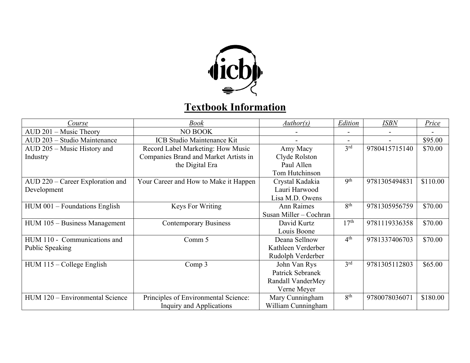

## **Textbook Information**

| Course                           | Book                                  | <i>Author(s)</i>       | Edition          | <b>ISBN</b>   | <b>Price</b> |
|----------------------------------|---------------------------------------|------------------------|------------------|---------------|--------------|
| AUD 201 - Music Theory           | NO BOOK                               |                        |                  |               |              |
| AUD 203 - Studio Maintenance     | <b>ICB Studio Maintenance Kit</b>     |                        |                  |               | \$95.00      |
| AUD 205 - Music History and      | Record Label Marketing: How Music     | Amy Macy               | 3 <sup>rd</sup>  | 9780415715140 | \$70.00      |
| Industry                         | Companies Brand and Market Artists in | Clyde Rolston          |                  |               |              |
|                                  | the Digital Era                       | Paul Allen             |                  |               |              |
|                                  |                                       | Tom Hutchinson         |                  |               |              |
| AUD 220 - Career Exploration and | Your Career and How to Make it Happen | Crystal Kadakia        | 9 <sup>th</sup>  | 9781305494831 | \$110.00     |
| Development                      |                                       | Lauri Harwood          |                  |               |              |
|                                  |                                       | Lisa M.D. Owens        |                  |               |              |
| $HUM$ 001 – Foundations English  | <b>Keys For Writing</b>               | <b>Ann Raimes</b>      | 8 <sup>th</sup>  | 9781305956759 | \$70.00      |
|                                  |                                       | Susan Miller - Cochran |                  |               |              |
| HUM 105 - Business Management    | <b>Contemporary Business</b>          | David Kurtz            | 17 <sup>th</sup> | 9781119336358 | \$70.00      |
|                                  |                                       | Louis Boone            |                  |               |              |
| HUM 110 - Communications and     | Comm 5                                | Deana Sellnow          | 4 <sup>th</sup>  | 9781337406703 | \$70.00      |
| Public Speaking                  |                                       | Kathleen Verderber     |                  |               |              |
|                                  |                                       | Rudolph Verderber      |                  |               |              |
| $HUM$ 115 – College English      | Comp 3                                | John Van Rys           | 3 <sup>rd</sup>  | 9781305112803 | \$65.00      |
|                                  |                                       | Patrick Sebranek       |                  |               |              |
|                                  |                                       | Randall VanderMey      |                  |               |              |
|                                  |                                       | Verne Meyer            |                  |               |              |
| HUM 120 – Environmental Science  | Principles of Environmental Science:  | Mary Cunningham        | 8 <sup>th</sup>  | 9780078036071 | \$180.00     |
|                                  | Inquiry and Applications              | William Cunningham     |                  |               |              |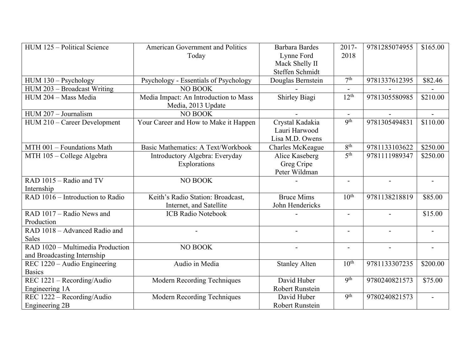| HUM 125 - Political Science      | <b>American Government and Politics</b>   | <b>Barbara Bardes</b> | 2017-               | 9781285074955  | \$165.00       |
|----------------------------------|-------------------------------------------|-----------------------|---------------------|----------------|----------------|
|                                  | Today                                     | Lynne Ford            | 2018                |                |                |
|                                  |                                           | Mack Shelly II        |                     |                |                |
|                                  |                                           | Steffen Schmidt       |                     |                |                |
| $HUM$ 130 – Psychology           | Psychology - Essentials of Psychology     | Douglas Bernstein     | 7 <sup>th</sup>     | 9781337612395  | \$82.46        |
| HUM 203 - Broadcast Writing      | <b>NO BOOK</b>                            |                       |                     |                |                |
| HUM 204 - Mass Media             | Media Impact: An Introduction to Mass     | Shirley Biagi         | 12 <sup>th</sup>    | 9781305580985  | \$210.00       |
|                                  | Media, 2013 Update                        |                       |                     |                |                |
| HUM 207 - Journalism             | <b>NO BOOK</b>                            |                       | $\blacksquare$      |                | $\blacksquare$ |
| HUM 210 - Career Development     | Your Career and How to Make it Happen     | Crystal Kadakia       | Q <sup>th</sup>     | 9781305494831  | \$110.00       |
|                                  |                                           | Lauri Harwood         |                     |                |                |
|                                  |                                           | Lisa M.D. Owens       |                     |                |                |
| MTH 001 - Foundations Math       | <b>Basic Mathematics: A Text/Workbook</b> | Charles McKeague      | 8 <sup>th</sup>     | 9781133103622  | \$250.00       |
| MTH 105 - College Algebra        | Introductory Algebra: Everyday            | Alice Kaseberg        | $\overline{5^{th}}$ | 9781111989347  | \$250.00       |
|                                  | Explorations                              | Greg Cripe            |                     |                |                |
|                                  |                                           | Peter Wildman         |                     |                |                |
| RAD 1015 - Radio and TV          | NO BOOK                                   |                       | $\blacksquare$      | $\sim$         |                |
| Internship                       |                                           |                       |                     |                |                |
| RAD 1016 – Introduction to Radio | Keith's Radio Station: Broadcast,         | <b>Bruce Mims</b>     | $10^{\text{th}}$    | 9781138218819  | \$85.00        |
|                                  | Internet, and Satellite                   | John Hendericks       |                     |                |                |
| RAD 1017 - Radio News and        | <b>ICB Radio Notebook</b>                 |                       |                     |                | \$15.00        |
| Production                       |                                           |                       |                     |                |                |
| RAD 1018 - Advanced Radio and    |                                           |                       | $\overline{a}$      |                |                |
| <b>Sales</b>                     |                                           |                       |                     |                |                |
| RAD 1020 – Multimedia Production | NO BOOK                                   |                       | $\blacksquare$      | $\overline{a}$ |                |
| and Broadcasting Internship      |                                           |                       |                     |                |                |
| REC 1220 – Audio Engineering     | Audio in Media                            | <b>Stanley Alten</b>  | 10 <sup>th</sup>    | 9781133307235  | \$200.00       |
| <b>Basics</b>                    |                                           |                       |                     |                |                |
| REC 1221 - Recording/Audio       | <b>Modern Recording Techniques</b>        | David Huber           | <b>9th</b>          | 9780240821573  | \$75.00        |
| Engineering 1A                   |                                           | Robert Runstein       |                     |                |                |
| REC 1222 - Recording/Audio       | <b>Modern Recording Techniques</b>        | David Huber           | Q <sup>th</sup>     | 9780240821573  |                |
| Engineering 2B                   |                                           | Robert Runstein       |                     |                |                |